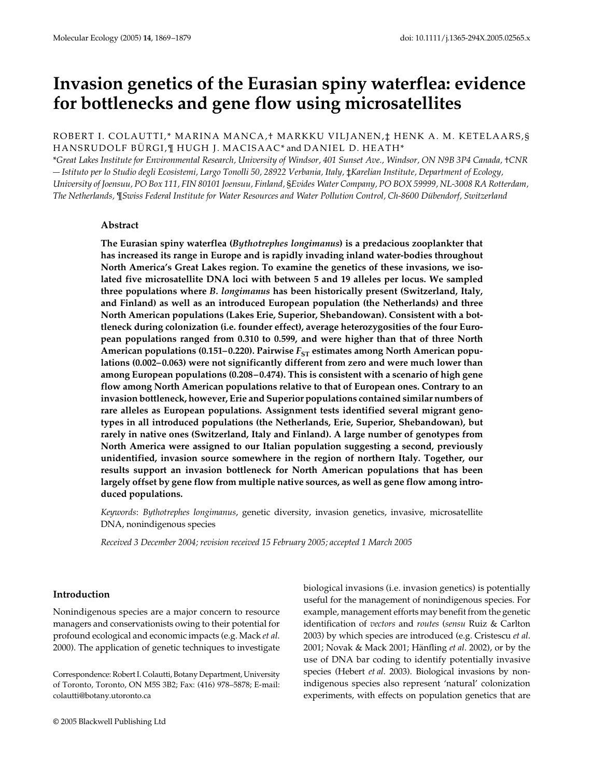# Invasion genetics of the Eurasian spiny waterflea: evidence **for bottlenecks and gene flow using microsatellites**

ROBERT I. COLAUTTI,\* MARINA MANCA,† MARKKU VILJANEN,‡ HENK A. M. KETELAARS,§ HANSRUDOLF BÜRGI,¶ HUGH J. MACISAAC\* and DANIEL D. HEATH\*

\**Great Lakes Institute for Environmental Research, University of Windsor, 401 Sunset Ave., Windsor, ON N9B 3P4 Canada,* †*CNR — Istituto per lo Studio degli Ecosistemi, Largo Tonolli 50, 28922 Verbania, Italy,* ‡*Karelian Institute, Department of Ecology, University of Joensuu, PO Box 111, FIN 80101 Joensuu, Finland,* §*Evides Water Company, PO BOX 59999, NL-3008 RA Rotterdam, The Netherlands,* ¶*Swiss Federal Institute for Water Resources and Water Pollution Control, Ch-8600 Dübendorf, Switzerland*

#### **Abstract**

**The Eurasian spiny waterflea (***Bythotrephes longimanus***) is a predacious zooplankter that has increased its range in Europe and is rapidly invading inland water-bodies throughout North America's Great Lakes region. To examine the genetics of these invasions, we isolated five microsatellite DNA loci with between 5 and 19 alleles per locus. We sampled three populations where** *B. longimanus* **has been historically present (Switzerland, Italy, and Finland) as well as an introduced European population (the Netherlands) and three North American populations (Lakes Erie, Superior, Shebandowan). Consistent with a bottleneck during colonization (i.e. founder effect), average heterozygosities of the four European populations ranged from 0.310 to 0.599, and were higher than that of three North** American populations (0.151–0.220). Pairwise  $F_{ST}$  estimates among North American popu**lations (0.002–0.063) were not significantly different from zero and were much lower than among European populations (0.208–0.474). This is consistent with a scenario of high gene flow among North American populations relative to that of European ones. Contrary to an invasion bottleneck, however, Erie and Superior populations contained similar numbers of rare alleles as European populations. Assignment tests identified several migrant genotypes in all introduced populations (the Netherlands, Erie, Superior, Shebandowan), but rarely in native ones (Switzerland, Italy and Finland). A large number of genotypes from North America were assigned to our Italian population suggesting a second, previously unidentified, invasion source somewhere in the region of northern Italy. Together, our results support an invasion bottleneck for North American populations that has been largely offset by gene flow from multiple native sources, as well as gene flow among introduced populations.**

*Keywords*: *Bythotrephes longimanus*, genetic diversity, invasion genetics, invasive, microsatellite DNA, nonindigenous species

*Received 3 December 2004; revision received 15 February 2005; accepted 1 March 2005*

## **Introduction**

Nonindigenous species are a major concern to resource managers and conservationists owing to their potential for profound ecological and economic impacts (e.g. Mack *et al*. 2000). The application of genetic techniques to investigate

© 2005 Blackwell Publishing Ltd

biological invasions (i.e. invasion genetics) is potentially useful for the management of nonindigenous species. For example, management efforts may benefit from the genetic identification of *vectors* and *routes* (*sensu* Ruiz & Carlton 2003) by which species are introduced (e.g. Cristescu *et al*. 2001; Novak & Mack 2001; Hänfling *et al*. 2002), or by the use of DNA bar coding to identify potentially invasive species (Hebert *et al*. 2003). Biological invasions by nonindigenous species also represent 'natural' colonization experiments, with effects on population genetics that are

Correspondence: Robert I. Colautti, Botany Department, University of Toronto, Toronto, ON M5S 3B2; Fax: (416) 978–5878; E-mail: colautti@botany.utoronto.ca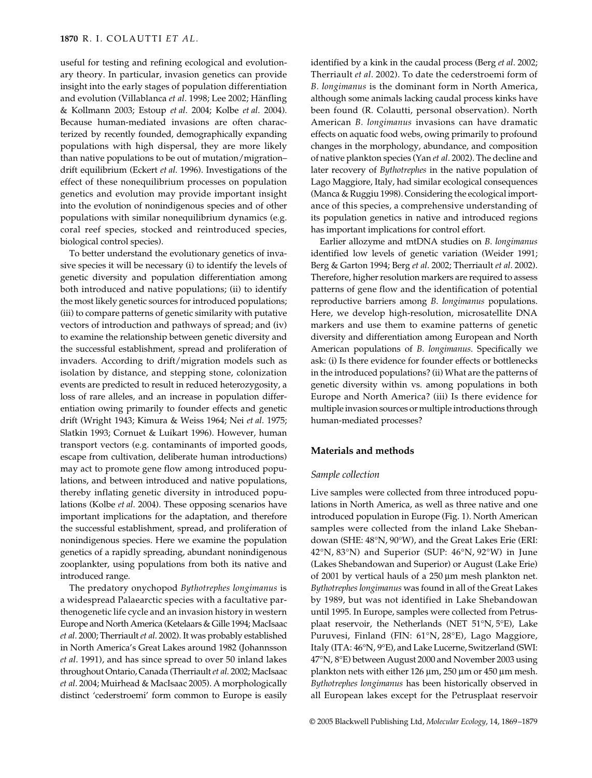useful for testing and refining ecological and evolutionary theory. In particular, invasion genetics can provide insight into the early stages of population differentiation and evolution (Villablanca *et al*. 1998; Lee 2002; Hänfling & Kollmann 2003; Estoup *et al*. 2004; Kolbe *et al*. 2004). Because human-mediated invasions are often characterized by recently founded, demographically expanding populations with high dispersal, they are more likely than native populations to be out of mutation/migration– drift equilibrium (Eckert *et al*. 1996). Investigations of the effect of these nonequilibrium processes on population genetics and evolution may provide important insight into the evolution of nonindigenous species and of other populations with similar nonequilibrium dynamics (e.g. coral reef species, stocked and reintroduced species, biological control species).

To better understand the evolutionary genetics of invasive species it will be necessary (i) to identify the levels of genetic diversity and population differentiation among both introduced and native populations; (ii) to identify the most likely genetic sources for introduced populations; (iii) to compare patterns of genetic similarity with putative vectors of introduction and pathways of spread; and (iv) to examine the relationship between genetic diversity and the successful establishment, spread and proliferation of invaders. According to drift/migration models such as isolation by distance, and stepping stone, colonization events are predicted to result in reduced heterozygosity, a loss of rare alleles, and an increase in population differentiation owing primarily to founder effects and genetic drift (Wright 1943; Kimura & Weiss 1964; Nei *et al*. 1975; Slatkin 1993; Cornuet & Luikart 1996). However, human transport vectors (e.g. contaminants of imported goods, escape from cultivation, deliberate human introductions) may act to promote gene flow among introduced populations, and between introduced and native populations, thereby inflating genetic diversity in introduced populations (Kolbe *et al*. 2004). These opposing scenarios have important implications for the adaptation, and therefore the successful establishment, spread, and proliferation of nonindigenous species. Here we examine the population genetics of a rapidly spreading, abundant nonindigenous zooplankter, using populations from both its native and introduced range.

The predatory onychopod *Bythotrephes longimanus* is a widespread Palaearctic species with a facultative parthenogenetic life cycle and an invasion history in western Europe and North America (Ketelaars & Gille 1994; MacIsaac *et al*. 2000; Therriault *et al*. 2002). It was probably established in North America's Great Lakes around 1982 (Johannsson *et al*. 1991), and has since spread to over 50 inland lakes throughout Ontario, Canada (Therriault *et al*. 2002; MacIsaac *et al*. 2004; Muirhead & MacIsaac 2005). A morphologically distinct 'cederstroemi' form common to Europe is easily identified by a kink in the caudal process (Berg *et al*. 2002; Therriault *et al*. 2002). To date the cederstroemi form of *B. longimanus* is the dominant form in North America, although some animals lacking caudal process kinks have been found (R. Colautti, personal observation). North American *B. longimanus* invasions can have dramatic effects on aquatic food webs, owing primarily to profound changes in the morphology, abundance, and composition of native plankton species (Yan *et al*. 2002). The decline and later recovery of *Bythotrephes* in the native population of Lago Maggiore, Italy, had similar ecological consequences (Manca & Ruggiu 1998). Considering the ecological importance of this species, a comprehensive understanding of its population genetics in native and introduced regions has important implications for control effort.

Earlier allozyme and mtDNA studies on *B*. *longimanus* identified low levels of genetic variation (Weider 1991; Berg & Garton 1994; Berg *et al*. 2002; Therriault *et al*. 2002). Therefore, higher resolution markers are required to assess patterns of gene flow and the identification of potential reproductive barriers among *B*. *longimanus* populations. Here, we develop high-resolution, microsatellite DNA markers and use them to examine patterns of genetic diversity and differentiation among European and North American populations of *B. longimanus*. Specifically we ask: (i) Is there evidence for founder effects or bottlenecks in the introduced populations? (ii) What are the patterns of genetic diversity within vs. among populations in both Europe and North America? (iii) Is there evidence for multiple invasion sources or multiple introductions through human-mediated processes?

## **Materials and methods**

#### *Sample collection*

Live samples were collected from three introduced populations in North America, as well as three native and one introduced population in Europe (Fig. 1). North American samples were collected from the inland Lake Shebandowan (SHE: 48°N, 90°W), and the Great Lakes Erie (ERI: 42°N, 83°N) and Superior (SUP: 46°N, 92°W) in June (Lakes Shebandowan and Superior) or August (Lake Erie) of 2001 by vertical hauls of a 250 µm mesh plankton net. *Bythotrephes longimanus* was found in all of the Great Lakes by 1989, but was not identified in Lake Shebandowan until 1995. In Europe, samples were collected from Petrusplaat reservoir, the Netherlands (NET 51°N, 5°E), Lake Puruvesi, Finland (FIN: 61°N, 28°E), Lago Maggiore, Italy (ITA: 46°N, 9°E), and Lake Lucerne, Switzerland (SWI: 47°N, 8°E) between August 2000 and November 2003 using plankton nets with either 126 µm, 250 µm or 450 µm mesh. *Bythotrephes longimanus* has been historically observed in all European lakes except for the Petrusplaat reservoir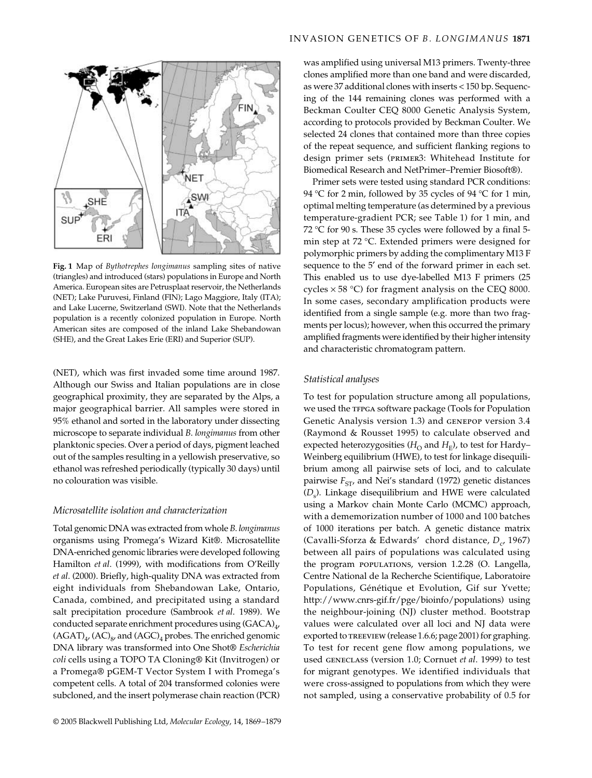

**Fig. 1** Map of *Bythotrephes longimanus* sampling sites of native (triangles) and introduced (stars) populations in Europe and North America. European sites are Petrusplaat reservoir, the Netherlands (NET); Lake Puruvesi, Finland (FIN); Lago Maggiore, Italy (ITA); and Lake Lucerne, Switzerland (SWI). Note that the Netherlands population is a recently colonized population in Europe. North American sites are composed of the inland Lake Shebandowan (SHE), and the Great Lakes Erie (ERI) and Superior (SUP).

(NET), which was first invaded some time around 1987. Although our Swiss and Italian populations are in close geographical proximity, they are separated by the Alps, a major geographical barrier. All samples were stored in 95% ethanol and sorted in the laboratory under dissecting microscope to separate individual *B*. *longimanus* from other planktonic species. Over a period of days, pigment leached out of the samples resulting in a yellowish preservative, so ethanol was refreshed periodically (typically 30 days) until no colouration was visible.

#### *Microsatellite isolation and characterization*

Total genomic DNA was extracted from whole *B*. *longimanus* organisms using Promega's Wizard Kit®. Microsatellite DNA-enriched genomic libraries were developed following Hamilton *et al*. (1999), with modifications from O'Reilly *et al*. (2000). Briefly, high-quality DNA was extracted from eight individuals from Shebandowan Lake, Ontario, Canada, combined, and precipitated using a standard salt precipitation procedure (Sambrook *et al*. 1989). We conducted separate enrichment procedures using  $(GACA)_{\text{A}}$ ,  $(AGAT)_{4}$ ,  $(AC)_{8}$ , and  $(AGC)_{4}$  probes. The enriched genomic DNA library was transformed into One Shot® *Escherichia coli* cells using a TOPO TA Cloning® Kit (Invitrogen) or a Promega® pGEM-T Vector System I with Promega's competent cells. A total of 204 transformed colonies were subcloned, and the insert polymerase chain reaction (PCR)

was amplified using universal M13 primers. Twenty-three clones amplified more than one band and were discarded, as were 37 additional clones with inserts < 150 bp. Sequencing of the 144 remaining clones was performed with a Beckman Coulter CEQ 8000 Genetic Analysis System, according to protocols provided by Beckman Coulter. We selected 24 clones that contained more than three copies of the repeat sequence, and sufficient flanking regions to design primer sets (PRIMER3: Whitehead Institute for Biomedical Research and NetPrimer–Premier Biosoft®).

Primer sets were tested using standard PCR conditions: 94 °C for 2 min, followed by 35 cycles of 94 °C for 1 min, optimal melting temperature (as determined by a previous temperature-gradient PCR; see Table 1) for 1 min, and 72 °C for 90 s. These 35 cycles were followed by a final 5 min step at 72 °C. Extended primers were designed for polymorphic primers by adding the complimentary M13 F sequence to the 5′ end of the forward primer in each set. This enabled us to use dye-labelled M13 F primers (25 cycles  $\times$  58 °C) for fragment analysis on the CEQ 8000. In some cases, secondary amplification products were identified from a single sample (e.g. more than two fragments per locus); however, when this occurred the primary amplified fragments were identified by their higher intensity and characteristic chromatogram pattern.

## *Statistical analyses*

To test for population structure among all populations, we used the TFPGA software package (Tools for Population Genetic Analysis version 1.3) and genepop version 3.4 (Raymond & Rousset 1995) to calculate observed and expected heterozygosities ( $H<sub>O</sub>$  and  $H<sub>E</sub>$ ), to test for Hardy– Weinberg equilibrium (HWE), to test for linkage disequilibrium among all pairwise sets of loci, and to calculate pairwise  $F_{ST}$ , and Nei's standard (1972) genetic distances (*D*<sub>s</sub>). Linkage disequilibrium and HWE were calculated using a Markov chain Monte Carlo (MCMC) approach, with a dememorization number of 1000 and 100 batches of 1000 iterations per batch. A genetic distance matrix (Cavalli-Sforza & Edwards' chord distance, *D<sub>c</sub>*, 1967) between all pairs of populations was calculated using the program populations, version 1.2.28 (O. Langella, Centre National de la Recherche Scientifique, Laboratoire Populations, Génétique et Evolution, Gif sur Yvette; http://www.cnrs-gif.fr/pge/bioinfo/populations) using the neighbour-joining (NJ) cluster method. Bootstrap values were calculated over all loci and NJ data were exported to TREEVIEW (release 1.6.6; page 2001) for graphing. To test for recent gene flow among populations, we used geneclass (version 1.0; Cornuet *et al*. 1999) to test for migrant genotypes. We identified individuals that were cross-assigned to populations from which they were not sampled, using a conservative probability of 0.5 for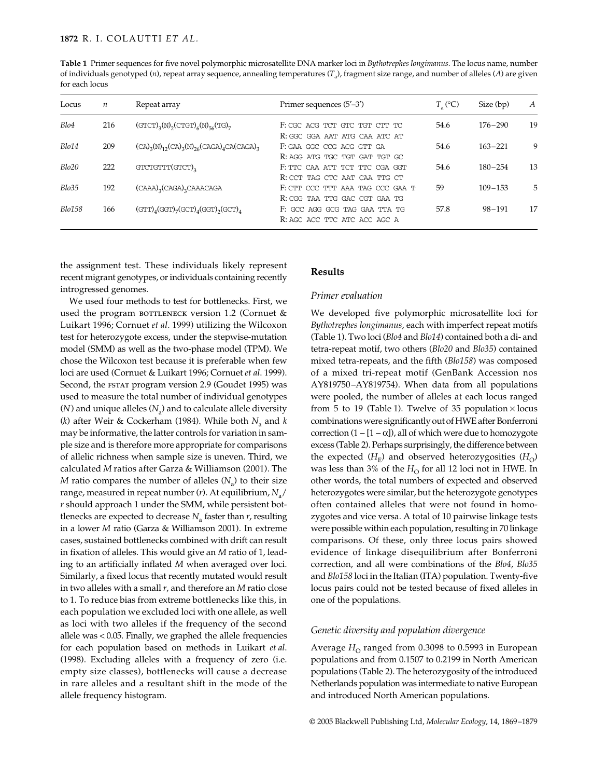| Table 1 Primer sequences for five novel polymorphic microsatellite DNA marker loci in Bythotrephes longimanus. The locus name, number             |
|---------------------------------------------------------------------------------------------------------------------------------------------------|
| of individuals genotyped $(n)$ , repeat array sequence, annealing temperatures $(T_a)$ , fragment size range, and number of alleles (A) are given |
| for each locus                                                                                                                                    |

| Locus  | $\boldsymbol{n}$ | Repeat array                                             | Primer sequences (5'-3')         | $T_{\alpha}$ (°C) | Size (bp)<br>$176 - 290$ | A<br>19 |
|--------|------------------|----------------------------------------------------------|----------------------------------|-------------------|--------------------------|---------|
| Blo4   | 216              | $(GTCT)_{3}(N)_{2}(CTGT)_{6}(N)_{56}(TG)_{7}$            | F: CGC ACG TCT GTC TGT CTT TC    | 54.6              |                          |         |
|        |                  |                                                          | R: GGC GGA AAT ATG CAA ATC AT    |                   |                          |         |
| Blo14  | 209              | $(CA)_{3}(N)_{12}(CA)_{3}(N)_{26}(CAGA)_{4}CA(CAGA)_{3}$ | F: GAA GGC CCG ACG GTT GA        | 54.6              | $163 - 221$              | 9       |
|        |                  |                                                          | R: AGG ATG TGC TGT GAT TGT GC    |                   |                          |         |
| Blo20  | 222              | GTCTGTTT(GTCT) <sub>3</sub>                              | F: TTC CAA ATT TCT TTC CGA GGT   | 54.6              | $180 - 254$              | 13      |
|        |                  |                                                          | R: CCT TAG CTC AAT CAA TTG CT    |                   |                          |         |
| Blo.35 | 192              | (CAAA) <sub>3</sub> (CAGA) <sub>3</sub> CAAACAGA         | F: CTT CCC TTT AAA TAG CCC GAA T | 59                | $109 - 153$              | 5       |
|        |                  |                                                          | R: CGG TAA TTG GAC CGT GAA TG    |                   |                          |         |
| Blo158 | 166              | $(GTT)_{4}(GGT)_{7}(GCT)_{4}(GGT)_{2}(GCT)_{4}$          | F: GCC AGG GCG TAG GAA TTA TG    | 57.8              | $98 - 191$               | 17      |
|        |                  |                                                          | R: AGC ACC TTC ATC ACC AGC A     |                   |                          |         |

the assignment test. These individuals likely represent recent migrant genotypes, or individuals containing recently introgressed genomes.

We used four methods to test for bottlenecks. First, we used the program bottleneck version 1.2 (Cornuet  $\&$ Luikart 1996; Cornuet *et al*. 1999) utilizing the Wilcoxon test for heterozygote excess, under the stepwise-mutation model (SMM) as well as the two-phase model (TPM). We chose the Wilcoxon test because it is preferable when few loci are used (Cornuet & Luikart 1996; Cornuet *et al*. 1999). Second, the FSTAT program version 2.9 (Goudet 1995) was used to measure the total number of individual genotypes  $(N)$  and unique alleles  $(N_a)$  and to calculate allele diversity (*k*) after Weir & Cockerham (1984). While both  $N_a$  and  $k$ may be informative, the latter controls for variation in sample size and is therefore more appropriate for comparisons of allelic richness when sample size is uneven. Third, we calculated *M* ratios after Garza & Williamson (2001). The *M* ratio compares the number of alleles  $(N_a)$  to their size range, measured in repeat number  $(r)$ . At equilibrium,  $N_a$ *r* should approach 1 under the SMM, while persistent bottlenecks are expected to decrease  $N_a$  faster than  $r$ , resulting in a lower *M* ratio (Garza & Williamson 2001). In extreme cases, sustained bottlenecks combined with drift can result in fixation of alleles. This would give an *M* ratio of 1, leading to an artificially inflated *M* when averaged over loci. Similarly, a fixed locus that recently mutated would result in two alleles with a small *r*, and therefore an *M* ratio close to 1. To reduce bias from extreme bottlenecks like this, in each population we excluded loci with one allele, as well as loci with two alleles if the frequency of the second allele was < 0.05. Finally, we graphed the allele frequencies for each population based on methods in Luikart *et al*. (1998). Excluding alleles with a frequency of zero (i.e. empty size classes), bottlenecks will cause a decrease in rare alleles and a resultant shift in the mode of the allele frequency histogram.

#### **Results**

#### *Primer evaluation*

We developed five polymorphic microsatellite loci for *Bythotrephes longimanus*, each with imperfect repeat motifs (Table 1). Two loci (*Blo4* and *Blo14*) contained both a di- and tetra-repeat motif, two others (*Blo20* and *Blo35*) contained mixed tetra-repeats, and the fifth (*Blo158*) was composed of a mixed tri-repeat motif (GenBank Accession nos AY819750–AY819754). When data from all populations were pooled, the number of alleles at each locus ranged from 5 to 19 (Table 1). Twelve of 35 population  $\times$  locus combinations were significantly out of HWE after Bonferroni correction  $(1 - [1 - \alpha])$ , all of which were due to homozygote excess (Table 2). Perhaps surprisingly, the difference between the expected  $(H_E)$  and observed heterozygosities  $(H_O)$ was less than 3% of the  $H_0$  for all 12 loci not in HWE. In other words, the total numbers of expected and observed heterozygotes were similar, but the heterozygote genotypes often contained alleles that were not found in homozygotes and vice versa. A total of 10 pairwise linkage tests were possible within each population, resulting in 70 linkage comparisons. Of these, only three locus pairs showed evidence of linkage disequilibrium after Bonferroni correction, and all were combinations of the *Blo4*, *Blo35* and *Blo158* loci in the Italian (ITA) population. Twenty-five locus pairs could not be tested because of fixed alleles in one of the populations.

#### *Genetic diversity and population divergence*

Average  $H_0$  ranged from 0.3098 to 0.5993 in European populations and from 0.1507 to 0.2199 in North American populations (Table 2). The heterozygosity of the introduced Netherlands population was intermediate to native European and introduced North American populations.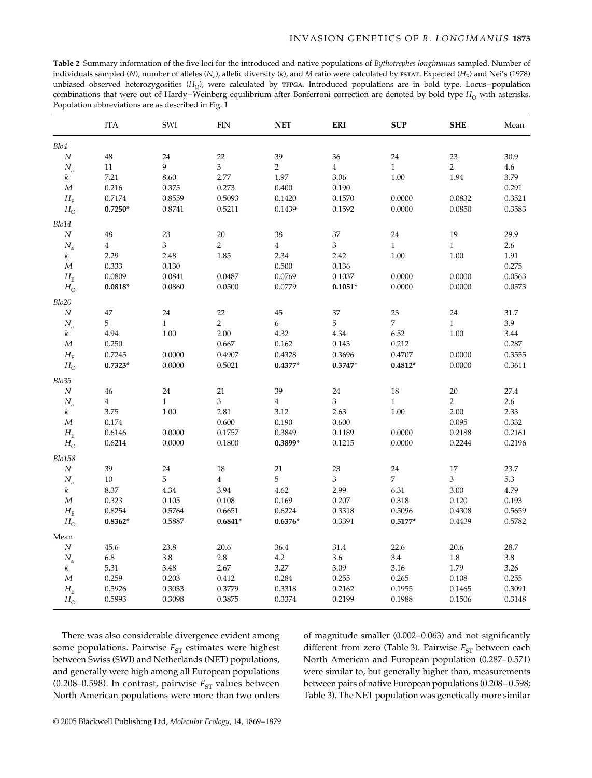**Table 2** Summary information of the five loci for the introduced and native populations of *Bythotrephes longimanus* sampled. Number of individuals sampled (*N*), number of alleles (*N*<sub>a</sub>), allelic diversity (*k*), and *M* ratio were calculated by FSTAT. Expected ( $H_F$ ) and Nei's (1978) unbiased observed heterozygosities (*H<sub>O</sub>*), were calculated by TFPGA. Introduced populations are in bold type. Locus-population combinations that were out of Hardy–Weinberg equilibrium after Bonferroni correction are denoted by bold type *H*<sub>O</sub> with asterisks. Population abbreviations are as described in Fig. 1

|                  | <b>ITA</b>      | SWI          | <b>FIN</b>              | <b>NET</b>              | <b>ERI</b>              | <b>SUP</b>     | <b>SHE</b>     | Mean    |
|------------------|-----------------|--------------|-------------------------|-------------------------|-------------------------|----------------|----------------|---------|
| $Blo4$           |                 |              |                         |                         |                         |                |                |         |
| $\cal N$         | $\rm 48$        | 24           | 22                      | 39                      | 36                      | $24\,$         | 23             | 30.9    |
| $N_{\rm a}$      | $11\,$          | 9            | 3                       | $\overline{2}$          | $\overline{\mathbf{4}}$ | $\mathbf 1$    | $\sqrt{2}$     | $4.6\,$ |
| $\boldsymbol{k}$ | 7.21            | 8.60         | 2.77                    | 1.97                    | 3.06                    | $1.00\,$       | 1.94           | 3.79    |
| $\cal M$         | 0.216           | 0.375        | 0.273                   | 0.400                   | 0.190                   |                |                | 0.291   |
| $H_{\rm E}$      | 0.7174          | 0.8559       | 0.5093                  | 0.1420                  | 0.1570                  | 0.0000         | 0.0832         | 0.3521  |
| $H_{\rm O}$      | $0.7250*$       | 0.8741       | 0.5211                  | 0.1439                  | 0.1592                  | 0.0000         | 0.0850         | 0.3583  |
| $Blo14$          |                 |              |                         |                         |                         |                |                |         |
| $\cal N$         | $\sqrt{48}$     | $23\,$       | 20                      | 38                      | $37\,$                  | 24             | 19             | 29.9    |
| $N_{\rm a}$      | 4               | 3            | $\overline{2}$          | $\overline{\mathbf{4}}$ | 3                       | $\mathbf{1}$   | $\mathbf{1}$   | $2.6\,$ |
| $\boldsymbol{k}$ | 2.29            | 2.48         | 1.85                    | 2.34                    | 2.42                    | $1.00\,$       | 1.00           | 1.91    |
| $\cal M$         | 0.333           | 0.130        |                         | 0.500                   | 0.136                   |                |                | 0.275   |
| $H_{\rm E}$      | 0.0809          | 0.0841       | 0.0487                  | 0.0769                  | 0.1037                  | 0.0000         | 0.0000         | 0.0563  |
| $H_{\rm O}$      | $0.0818^{\ast}$ | 0.0860       | 0.0500                  | 0.0779                  | $0.1051*$               | 0.0000         | 0.0000         | 0.0573  |
| $Blo20$          |                 |              |                         |                         |                         |                |                |         |
| $\cal N$         | 47              | $24\,$       | $22\,$                  | 45                      | 37                      | $23\,$         | $24\,$         | 31.7    |
| $N_{\rm a}$      | 5               | $\mathbf{1}$ | $\overline{2}$          | 6                       | 5                       | $\overline{7}$ | $\mathbf{1}$   | 3.9     |
| $\boldsymbol{k}$ | 4.94            | 1.00         | 2.00                    | 4.32                    | 4.34                    | 6.52           | 1.00           | 3.44    |
| $\cal M$         | 0.250           |              | 0.667                   | 0.162                   | 0.143                   | 0.212          |                | 0.287   |
| $H_{\rm E}$      | 0.7245          | 0.0000       | 0.4907                  | 0.4328                  | 0.3696                  | 0.4707         | 0.0000         | 0.3555  |
| $H_{\rm O}$      | $0.7323*$       | 0.0000       | 0.5021                  | $0.4377*$               | $0.3747*$               | $0.4812*$      | 0.0000         | 0.3611  |
| Blo35            |                 |              |                         |                         |                         |                |                |         |
| $\cal N$         | 46              | $24\,$       | $21\,$                  | 39                      | 24                      | 18             | 20             | 27.4    |
| $N_{\rm a}$      | $\overline{4}$  | $\mathbf{1}$ | $\,$ 3 $\,$             | $\overline{\mathbf{4}}$ | 3                       | $\mathbf{1}$   | $\overline{c}$ | $2.6\,$ |
| $\boldsymbol{k}$ | 3.75            | 1.00         | 2.81                    | 3.12                    | 2.63                    | 1.00           | 2.00           | 2.33    |
| $\cal M$         | 0.174           |              | 0.600                   | 0.190                   | 0.600                   |                | 0.095          | 0.332   |
| $H_{\rm E}$      | 0.6146          | 0.0000       | 0.1757                  | 0.3849                  | 0.1189                  | 0.0000         | 0.2188         | 0.2161  |
| $H_{\rm O}$      | 0.6214          | 0.0000       | 0.1800                  | $0.3899*$               | 0.1215                  | 0.0000         | 0.2244         | 0.2196  |
| Blo158           |                 |              |                         |                         |                         |                |                |         |
| $\cal N$         | 39              | 24           | 18                      | 21                      | 23                      | $24\,$         | 17             | 23.7    |
| $N_{\rm a}$      | $10\,$          | 5            | $\overline{\mathbf{4}}$ | 5                       | 3                       | $\overline{7}$ | 3              | 5.3     |
| $\boldsymbol{k}$ | 8.37            | 4.34         | 3.94                    | 4.62                    | 2.99                    | 6.31           | 3.00           | 4.79    |
| $\cal M$         | 0.323           | 0.105        | 0.108                   | 0.169                   | 0.207                   | 0.318          | 0.120          | 0.193   |
| $H_{\rm E}$      | 0.8254          | 0.5764       | 0.6651                  | 0.6224                  | 0.3318                  | 0.5096         | 0.4308         | 0.5659  |
| $H_{\rm O}$      | $0.8362*$       | 0.5887       | $0.6841*$               | $0.6376*$               | 0.3391                  | $0.5177*$      | 0.4439         | 0.5782  |
| Mean             |                 |              |                         |                         |                         |                |                |         |
| $\cal N$         | 45.6            | 23.8         | 20.6                    | 36.4                    | 31.4                    | 22.6           | 20.6           | 28.7    |
| $N_{\rm a}$      | 6.8             | $3.8\,$      | $2.8\,$                 | $4.2\,$                 | 3.6                     | 3.4            | $1.8\,$        | $3.8\,$ |
| $\boldsymbol{k}$ | 5.31            | 3.48         | 2.67                    | 3.27                    | 3.09                    | 3.16           | 1.79           | 3.26    |
| $\cal M$         | 0.259           | 0.203        | 0.412                   | 0.284                   | 0.255                   | 0.265          | 0.108          | 0.255   |
| $H_{\rm E}$      | 0.5926          | 0.3033       | 0.3779                  | 0.3318                  | 0.2162                  | 0.1955         | 0.1465         | 0.3091  |
| $H_{\rm O}$      | 0.5993          | 0.3098       | 0.3875                  | 0.3374                  | 0.2199                  | 0.1988         | 0.1506         | 0.3148  |

There was also considerable divergence evident among some populations. Pairwise  $F_{ST}$  estimates were highest between Swiss (SWI) and Netherlands (NET) populations, and generally were high among all European populations (0.208–0.598). In contrast, pairwise  $F_{ST}$  values between North American populations were more than two orders of magnitude smaller (0.002–0.063) and not significantly different from zero (Table 3). Pairwise  $F_{ST}$  between each North American and European population (0.287–0.571) were similar to, but generally higher than, measurements between pairs of native European populations (0.208–0.598; Table 3). The NET population was genetically more similar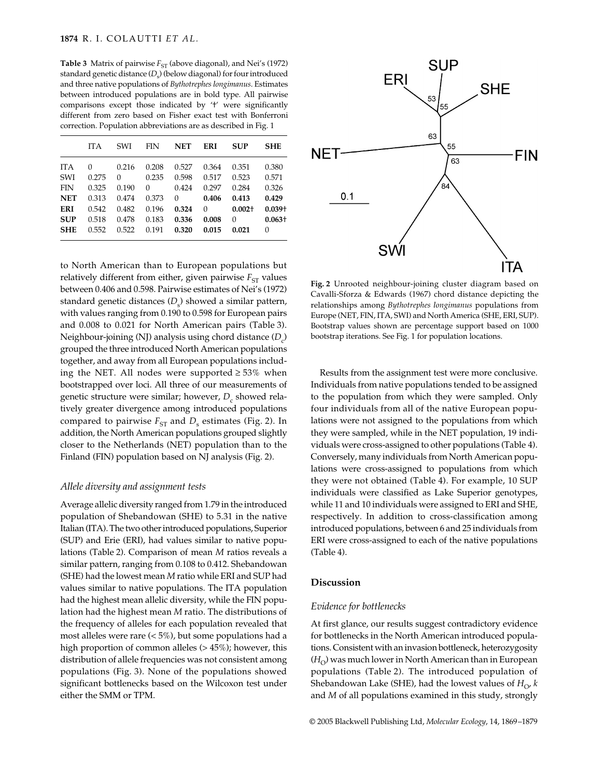**Table 3** Matrix of pairwise  $F_{ST}$  (above diagonal), and Nei's (1972) standard genetic distance (D<sub>s</sub>) (below diagonal) for four introduced and three native populations of *Bythotrephes longimanus*. Estimates between introduced populations are in bold type. All pairwise comparisons except those indicated by '†' were significantly different from zero based on Fisher exact test with Bonferroni correction. Population abbreviations are as described in Fig. 1

|            | <b>ITA</b> | SWI   | <b>FIN</b> | <b>NET</b> | ERI      | <b>SUP</b> | <b>SHE</b> |
|------------|------------|-------|------------|------------|----------|------------|------------|
| <b>ITA</b> | 0          | 0.216 | 0.208      | 0.527      | 0.364    | 0.351      | 0.380      |
| <b>SWI</b> | 0.275      | 0     | 0.235      | 0.598      | 0.517    | 0.523      | 0.571      |
| <b>FIN</b> | 0.325      | 0.190 | 0          | 0.424      | 0.297    | 0.284      | 0.326      |
| <b>NET</b> | 0.313      | 0.474 | 0.373      | $\Omega$   | 0.406    | 0.413      | 0.429      |
| <b>ERI</b> | 0.542      | 0.482 | 0.196      | 0.324      | $\theta$ | $0.002 +$  | $0.039+$   |
| <b>SUP</b> | 0.518      | 0.478 | 0.183      | 0.336      | 0.008    | 0          | $0.063+$   |
| <b>SHE</b> | 0.552      | 0.522 | 0.191      | 0.320      | 0.015    | 0.021      | 0          |

to North American than to European populations but relatively different from either, given pairwise  $F_{ST}$  values between 0.406 and 0.598. Pairwise estimates of Nei's (1972) standard genetic distances (D<sub>s</sub>) showed a similar pattern, with values ranging from 0.190 to 0.598 for European pairs and 0.008 to 0.021 for North American pairs (Table 3). Neighbour-joining (NJ) analysis using chord distance (D<sub>c</sub>) grouped the three introduced North American populations together, and away from all European populations including the NET. All nodes were supported ≥ 53% when bootstrapped over loci. All three of our measurements of genetic structure were similar; however,  $D_c$  showed relatively greater divergence among introduced populations compared to pairwise  $F_{ST}$  and  $D_s$  estimates (Fig. 2). In addition, the North American populations grouped slightly closer to the Netherlands (NET) population than to the Finland (FIN) population based on NJ analysis (Fig. 2).

## *Allele diversity and assignment tests*

Average allelic diversity ranged from 1.79 in the introduced population of Shebandowan (SHE) to 5.31 in the native Italian (ITA). The two other introduced populations, Superior (SUP) and Erie (ERI), had values similar to native populations (Table 2). Comparison of mean *M* ratios reveals a similar pattern, ranging from 0.108 to 0.412. Shebandowan (SHE) had the lowest mean *M* ratio while ERI and SUP had values similar to native populations. The ITA population had the highest mean allelic diversity, while the FIN population had the highest mean *M* ratio. The distributions of the frequency of alleles for each population revealed that most alleles were rare  $(< 5\%)$ , but some populations had a high proportion of common alleles (> 45%); however, this distribution of allele frequencies was not consistent among populations (Fig. 3). None of the populations showed significant bottlenecks based on the Wilcoxon test under either the SMM or TPM.



**Fig. 2** Unrooted neighbour-joining cluster diagram based on Cavalli-Sforza & Edwards (1967) chord distance depicting the relationships among *Bythotrephes longimanus* populations from Europe (NET, FIN, ITA, SWI) and North America (SHE, ERI, SUP). Bootstrap values shown are percentage support based on 1000 bootstrap iterations. See Fig. 1 for population locations.

Results from the assignment test were more conclusive. Individuals from native populations tended to be assigned to the population from which they were sampled. Only four individuals from all of the native European populations were not assigned to the populations from which they were sampled, while in the NET population, 19 individuals were cross-assigned to other populations (Table 4). Conversely, many individuals from North American populations were cross-assigned to populations from which they were not obtained (Table 4). For example, 10 SUP individuals were classified as Lake Superior genotypes, while 11 and 10 individuals were assigned to ERI and SHE, respectively. In addition to cross-classification among introduced populations, between 6 and 25 individuals from ERI were cross-assigned to each of the native populations (Table 4).

## **Discussion**

#### *Evidence for bottlenecks*

At first glance, our results suggest contradictory evidence for bottlenecks in the North American introduced populations. Consistent with an invasion bottleneck, heterozygosity  $(H<sub>o</sub>)$  was much lower in North American than in European populations (Table 2). The introduced population of Shebandowan Lake (SHE), had the lowest values of  $H_{\Omega}$  *k* and *M* of all populations examined in this study, strongly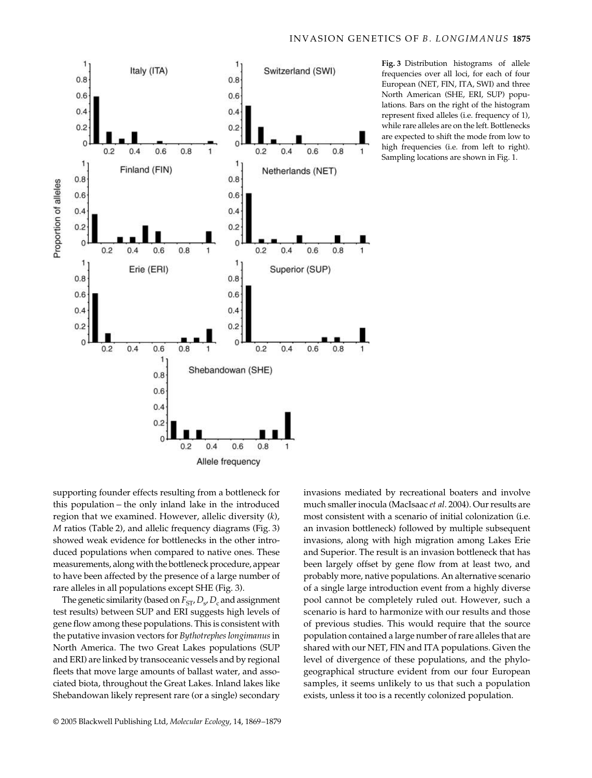



**Fig. 3** Distribution histograms of allele frequencies over all loci, for each of four European (NET, FIN, ITA, SWI) and three North American (SHE, ERI, SUP) populations. Bars on the right of the histogram represent fixed alleles (i.e. frequency of 1), while rare alleles are on the left. Bottlenecks are expected to shift the mode from low to high frequencies (i.e. from left to right). Sampling locations are shown in Fig. 1.

supporting founder effects resulting from a bottleneck for this population — the only inland lake in the introduced region that we examined. However, allelic diversity (*k*), *M* ratios (Table 2), and allelic frequency diagrams (Fig. 3) showed weak evidence for bottlenecks in the other introduced populations when compared to native ones. These measurements, along with the bottleneck procedure, appear to have been affected by the presence of a large number of rare alleles in all populations except SHE (Fig. 3).

The genetic similarity (based on  $F_{\textrm{ST'}} D_{\textrm{s}}$ ,  $D_{\textrm{c}}$  and assignment test results) between SUP and ERI suggests high levels of gene flow among these populations. This is consistent with the putative invasion vectors for *Bythotrephes longimanus*in North America. The two Great Lakes populations (SUP and ERI) are linked by transoceanic vessels and by regional fleets that move large amounts of ballast water, and associated biota, throughout the Great Lakes. Inland lakes like Shebandowan likely represent rare (or a single) secondary

invasions mediated by recreational boaters and involve much smaller inocula (MacIsaac *et al*. 2004). Our results are most consistent with a scenario of initial colonization (i.e. an invasion bottleneck) followed by multiple subsequent invasions, along with high migration among Lakes Erie and Superior. The result is an invasion bottleneck that has been largely offset by gene flow from at least two, and probably more, native populations. An alternative scenario of a single large introduction event from a highly diverse pool cannot be completely ruled out. However, such a scenario is hard to harmonize with our results and those of previous studies. This would require that the source population contained a large number of rare alleles that are shared with our NET, FIN and ITA populations. Given the level of divergence of these populations, and the phylogeographical structure evident from our four European samples, it seems unlikely to us that such a population exists, unless it too is a recently colonized population.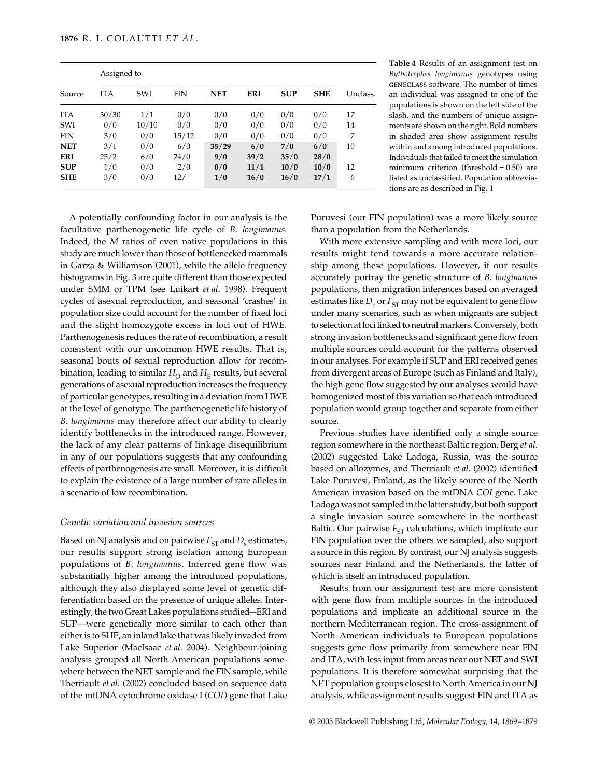| Source     | Assigned to |            |       |            |      |            |            |          |  |
|------------|-------------|------------|-------|------------|------|------------|------------|----------|--|
|            | <b>ITA</b>  | <b>SWI</b> | FIN   | <b>NET</b> | ERI  | <b>SUP</b> | <b>SHE</b> | Unclass. |  |
| <b>ITA</b> | 30/30       | 1/1        | 0/0   | 0/0        | 0/0  | 0/0        | 0/0        | 17       |  |
| SWI        | 0/0         | 10/10      | 0/0   | 0/0        | 0/0  | 0/0        | 0/0        | 14       |  |
| <b>FIN</b> | 3/0         | 0/0        | 15/12 | 0/0        | 0/0  | 0/0        | 0/0        | 7        |  |
| <b>NET</b> | 3/1         | 0/0        | 6/0   | 35/29      | 6/0  | 7/0        | 6/0        | 10       |  |
| ERI        | 25/2        | 6/0        | 24/0  | 9/0        | 39/2 | 35/0       | 28/0       |          |  |
| <b>SUP</b> | 1/0         | 0/0        | 2/0   | 0/0        | 11/1 | 10/0       | 10/0       | 12       |  |
| <b>SHE</b> | 3/0         | 0/0        | 12/   | 1/0        | 16/0 | 16/0       | 17/1       | 6        |  |

**Table 4** Results of an assignment test on *Bythotrephes longimanus* genotypes using geneclass software. The number of times an individual was assigned to one of the populations is shown on the left side of the slash, and the numbers of unique assignments are shown on the right. Bold numbers in shaded area show assignment results within and among introduced populations. Individuals that failed to meet the simulation minimum criterion (threshold = 0.50) are listed as unclassified. Population abbreviations are as described in Fig. 1

A potentially confounding factor in our analysis is the facultative parthenogenetic life cycle of *B. longimanus*. Indeed, the *M* ratios of even native populations in this study are much lower than those of bottlenecked mammals in Garza & Williamson (2001), while the allele frequency histograms in Fig. 3 are quite different than those expected under SMM or TPM (see Luikart *et al*. 1998). Frequent cycles of asexual reproduction, and seasonal 'crashes' in population size could account for the number of fixed loci and the slight homozygote excess in loci out of HWE. Parthenogenesis reduces the rate of recombination, a result consistent with our uncommon HWE results. That is, seasonal bouts of sexual reproduction allow for recombination, leading to similar  $H_{\rm O}$  and  $H_{\rm E}$  results, but several generations of asexual reproduction increases the frequency of particular genotypes, resulting in a deviation from HWE at the level of genotype. The parthenogenetic life history of *B*. *longimanus* may therefore affect our ability to clearly identify bottlenecks in the introduced range. However, the lack of any clear patterns of linkage disequilibrium in any of our populations suggests that any confounding effects of parthenogenesis are small. Moreover, it is difficult to explain the existence of a large number of rare alleles in a scenario of low recombination.

## *Genetic variation and invasion sources*

Based on NJ analysis and on pairwise  $F_{ST}$  and  $D_s$  estimates, our results support strong isolation among European populations of *B. longimanus*. Inferred gene flow was substantially higher among the introduced populations, although they also displayed some level of genetic differentiation based on the presence of unique alleles. Interestingly, the two Great Lakes populations studied—ERI and SUP––were genetically more similar to each other than either is to SHE, an inland lake that was likely invaded from Lake Superior (MacIsaac *et al*. 2004). Neighbour-joining analysis grouped all North American populations somewhere between the NET sample and the FIN sample, while Therriault *et al*. (2002) concluded based on sequence data of the mtDNA cytochrome oxidase I (*COI*) gene that Lake Puruvesi (our FIN population) was a more likely source than a population from the Netherlands.

With more extensive sampling and with more loci, our results might tend towards a more accurate relationship among these populations. However, if our results accurately portray the genetic structure of *B*. *longimanus* populations, then migration inferences based on averaged estimates like  $D_c$  or  $F_{ST}$  may not be equivalent to gene flow under many scenarios, such as when migrants are subject to selection at loci linked to neutral markers. Conversely, both strong invasion bottlenecks and significant gene flow from multiple sources could account for the patterns observed in our analyses. For example if SUP and ERI received genes from divergent areas of Europe (such as Finland and Italy), the high gene flow suggested by our analyses would have homogenized most of this variation so that each introduced population would group together and separate from either source.

Previous studies have identified only a single source region somewhere in the northeast Baltic region. Berg *et al*. (2002) suggested Lake Ladoga, Russia, was the source based on allozymes, and Therriault *et al*. (2002) identified Lake Puruvesi, Finland, as the likely source of the North American invasion based on the mtDNA *COI* gene. Lake Ladoga was not sampled in the latter study, but both support a single invasion source somewhere in the northeast Baltic. Our pairwise  $F_{ST}$  calculations, which implicate our FIN population over the others we sampled, also support a source in this region. By contrast, our NJ analysis suggests sources near Finland and the Netherlands, the latter of which is itself an introduced population.

Results from our assignment test are more consistent with gene flow from multiple sources in the introduced populations and implicate an additional source in the northern Mediterranean region. The cross-assignment of North American individuals to European populations suggests gene flow primarily from somewhere near FIN and ITA, with less input from areas near our NET and SWI populations. It is therefore somewhat surprising that the NET population groups closest to North America in our NJ analysis, while assignment results suggest FIN and ITA as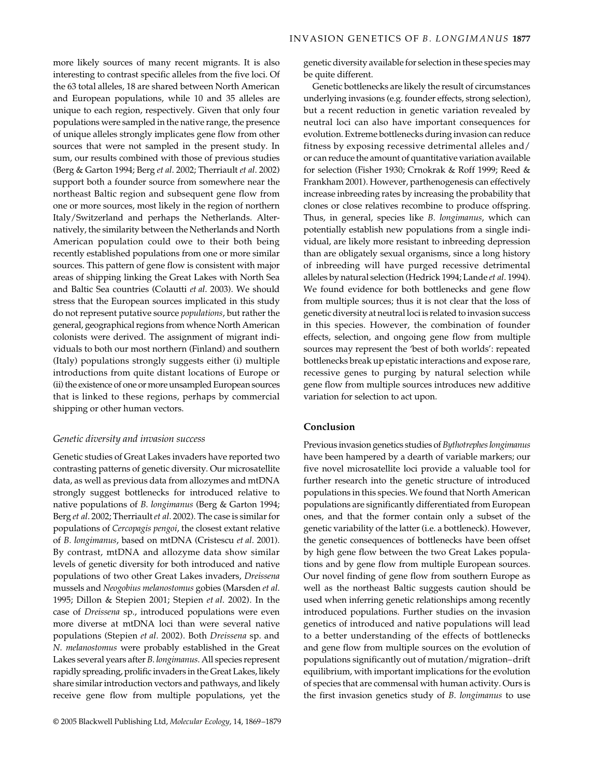more likely sources of many recent migrants. It is also interesting to contrast specific alleles from the five loci. Of the 63 total alleles, 18 are shared between North American and European populations, while 10 and 35 alleles are unique to each region, respectively. Given that only four populations were sampled in the native range, the presence of unique alleles strongly implicates gene flow from other sources that were not sampled in the present study. In sum, our results combined with those of previous studies (Berg & Garton 1994; Berg *et al*. 2002; Therriault *et al*. 2002) support both a founder source from somewhere near the northeast Baltic region and subsequent gene flow from one or more sources, most likely in the region of northern Italy/Switzerland and perhaps the Netherlands. Alternatively, the similarity between the Netherlands and North American population could owe to their both being recently established populations from one or more similar sources. This pattern of gene flow is consistent with major areas of shipping linking the Great Lakes with North Sea and Baltic Sea countries (Colautti *et al*. 2003). We should stress that the European sources implicated in this study do not represent putative source *populations*, but rather the general, geographical regions from whence North American colonists were derived. The assignment of migrant individuals to both our most northern (Finland) and southern (Italy) populations strongly suggests either (i) multiple introductions from quite distant locations of Europe or (ii) the existence of one or more unsampled European sources that is linked to these regions, perhaps by commercial shipping or other human vectors.

#### *Genetic diversity and invasion success*

Genetic studies of Great Lakes invaders have reported two contrasting patterns of genetic diversity. Our microsatellite data, as well as previous data from allozymes and mtDNA strongly suggest bottlenecks for introduced relative to native populations of *B*. *longimanus* (Berg & Garton 1994; Berg *et al*. 2002; Therriault *et al*. 2002). The case is similar for populations of *Cercopagis pengoi*, the closest extant relative of *B. longimanus*, based on mtDNA (Cristescu *et al*. 2001). By contrast, mtDNA and allozyme data show similar levels of genetic diversity for both introduced and native populations of two other Great Lakes invaders, *Dreissena* mussels and *Neogobius melanostomus* gobies (Marsden *et al*. 1995; Dillon & Stepien 2001; Stepien *et al*. 2002). In the case of *Dreissena* sp., introduced populations were even more diverse at mtDNA loci than were several native populations (Stepien *et al*. 2002). Both *Dreissena* sp. and *N*. *melanostomus* were probably established in the Great Lakes several years after *B*. *longimanus*. All species represent rapidly spreading, prolific invaders in the Great Lakes, likely share similar introduction vectors and pathways, and likely receive gene flow from multiple populations, yet the genetic diversity available for selection in these species may be quite different.

Genetic bottlenecks are likely the result of circumstances underlying invasions (e.g. founder effects, strong selection), but a recent reduction in genetic variation revealed by neutral loci can also have important consequences for evolution. Extreme bottlenecks during invasion can reduce fitness by exposing recessive detrimental alleles and/ or can reduce the amount of quantitative variation available for selection (Fisher 1930; Crnokrak & Roff 1999; Reed & Frankham 2001). However, parthenogenesis can effectively increase inbreeding rates by increasing the probability that clones or close relatives recombine to produce offspring. Thus, in general, species like *B. longimanus*, which can potentially establish new populations from a single individual, are likely more resistant to inbreeding depression than are obligately sexual organisms, since a long history of inbreeding will have purged recessive detrimental alleles by natural selection (Hedrick 1994; Lande *et al*. 1994). We found evidence for both bottlenecks and gene flow from multiple sources; thus it is not clear that the loss of genetic diversity at neutral loci is related to invasion success in this species. However, the combination of founder effects, selection, and ongoing gene flow from multiple sources may represent the 'best of both worlds': repeated bottlenecks break up epistatic interactions and expose rare, recessive genes to purging by natural selection while gene flow from multiple sources introduces new additive variation for selection to act upon.

## **Conclusion**

Previous invasion genetics studies of *Bythotrephes longimanus* have been hampered by a dearth of variable markers; our five novel microsatellite loci provide a valuable tool for further research into the genetic structure of introduced populations in this species. We found that North American populations are significantly differentiated from European ones, and that the former contain only a subset of the genetic variability of the latter (i.e. a bottleneck). However, the genetic consequences of bottlenecks have been offset by high gene flow between the two Great Lakes populations and by gene flow from multiple European sources. Our novel finding of gene flow from southern Europe as well as the northeast Baltic suggests caution should be used when inferring genetic relationships among recently introduced populations. Further studies on the invasion genetics of introduced and native populations will lead to a better understanding of the effects of bottlenecks and gene flow from multiple sources on the evolution of populations significantly out of mutation/migration–drift equilibrium, with important implications for the evolution of species that are commensal with human activity. Ours is the first invasion genetics study of *B*. *longimanus* to use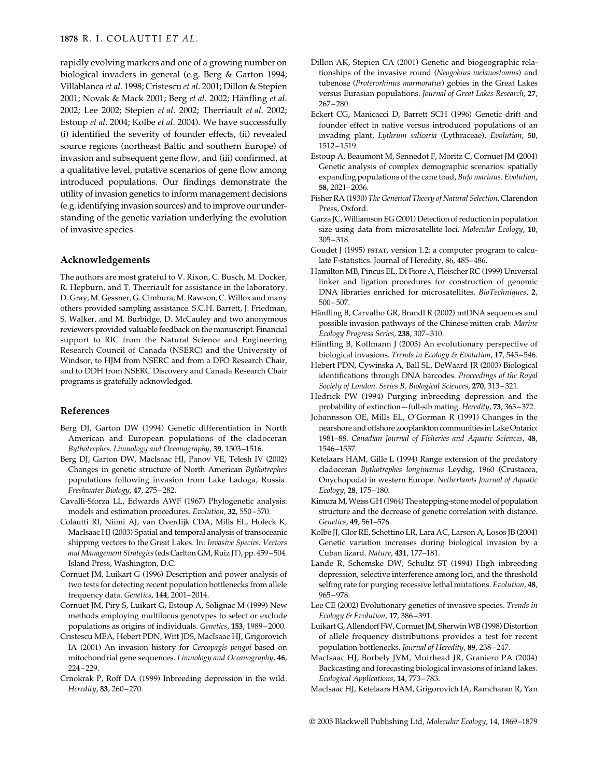rapidly evolving markers and one of a growing number on biological invaders in general (e.g. Berg & Garton 1994; Villablanca *et al*. 1998; Cristescu *et al*. 2001; Dillon & Stepien 2001; Novak & Mack 2001; Berg *et al*. 2002; Hänfling *et al*. 2002; Lee 2002; Stepien *et al*. 2002; Therriault *et al*. 2002; Estoup *et al*. 2004; Kolbe *et al*. 2004). We have successfully (i) identified the severity of founder effects, (ii) revealed source regions (northeast Baltic and southern Europe) of invasion and subsequent gene flow, and (iii) confirmed, at a qualitative level, putative scenarios of gene flow among introduced populations. Our findings demonstrate the utility of invasion genetics to inform management decisions (e.g. identifying invasion sources) and to improve our understanding of the genetic variation underlying the evolution of invasive species.

#### **Acknowledgements**

The authors are most grateful to V. Rixon, C. Busch, M. Docker, R. Hepburn, and T. Therriault for assistance in the laboratory. D. Gray, M. Gessner, G. Cimbura, M. Rawson, C. Willox and many others provided sampling assistance. S.C.H. Barrett, J. Friedman, S. Walker, and M. Burbidge, D. McCauley and two anonymous reviewers provided valuable feedback on the manuscript. Financial support to RIC from the Natural Science and Engineering Research Council of Canada (NSERC) and the University of Windsor, to HJM from NSERC and from a DFO Research Chair, and to DDH from NSERC Discovery and Canada Research Chair programs is gratefully acknowledged.

## **References**

- Berg DJ, Garton DW (1994) Genetic differentiation in North American and European populations of the cladoceran *Bythotrephes*. *Limnology and Oceanography*, **39**, 1503–1516.
- Berg DJ, Garton DW, MacIsaac HJ, Panov VE, Telesh IV (2002) Changes in genetic structure of North American *Bythotrephes* populations following invasion from Lake Ladoga, Russia. *Freshwater Biology*, **47**, 275–282.
- Cavalli-Sforza LL, Edwards AWF (1967) Phylogenetic analysis: models and estimation procedures. *Evolution*, **32**, 550–570.
- Colautti RI, Niimi AJ, van Overdijk CDA, Mills EL, Holeck K, MacIsaac HJ (2003) Spatial and temporal analysis of transoceanic shipping vectors to the Great Lakes. In: *Invasive Species: Vectors and Management Strategies*(eds Carlton GM, Ruiz JT), pp. 459–504. Island Press, Washington, D.C.
- Cornuet JM, Luikart G (1996) Description and power analysis of two tests for detecting recent population bottlenecks from allele frequency data. *Genetics*, **144**, 2001–2014.
- Cornuet JM, Piry S, Luikart G, Estoup A, Solignac M (1999) New methods employing multilocus genotypes to select or exclude populations as origins of individuals. *Genetics*, **153**, 1989–2000.
- Cristescu MEA, Hebert PDN, Witt JDS, MacIsaac HJ, Grigorovich IA (2001) An invasion history for *Cercopagis pengoi* based on mitochondrial gene sequences. *Limnology and Oceanography*, **46**, 224–229.
- Crnokrak P, Roff DA (1999) Inbreeding depression in the wild. *Heredity*, **83**, 260–270.
- Dillon AK, Stepien CA (2001) Genetic and biogeographic relationships of the invasive round (*Neogobius melanostomus*) and tubenose (*Proterorhinus marmoratus*) gobies in the Great Lakes versus Eurasian populations. *Journal of Great Lakes Research*, **27**, 267–280.
- Eckert CG, Manicacci D, Barrett SCH (1996) Genetic drift and founder effect in native versus introduced populations of an invading plant, *Lythrum salicaria* (Lythraceae). *Evolution*, **50**, 1512–1519.
- Estoup A, Beaumont M, Sennedot F, Moritz C, Cornuet JM (2004) Genetic analysis of complex demographic scenarios: spatially expanding populations of the cane toad, *Bufo marinus*. *Evolution*, **58**, 2021–2036.
- Fisher RA (1930) *The Genetical Theory of Natural Selection*. Clarendon Press, Oxford.
- Garza JC, Williamson EG (2001) Detection of reduction in population size using data from microsatellite loci. *Molecular Ecology*, **10**, 305–318.
- Goudet J (1995) FSTAT, version 1.2: a computer program to calculate F-statistics. Journal of Heredity, 86, 485–486.
- Hamilton MB, Pincus EL, Di Fiore A, Fleischer RC (1999) Universal linker and ligation procedures for construction of genomic DNA libraries enriched for microsatellites. *BioTechniques*, **2**, 500–507.
- Hänfling B, Carvalho GR, Brandl R (2002) mtDNA sequences and possible invasion pathways of the Chinese mitten crab. *Marine Ecology Progress Series*, **238**, 307–310.
- Hänfling B, Kollmann J (2003) An evolutionary perspective of biological invasions. *Trends in Ecology & Evolution*, **17**, 545–546.
- Hebert PDN, Cywinska A, Ball SL, DeWaard JR (2003) Biological identifications through DNA barcodes. *Proceedings of the Royal Society of London*. *Series B, Biological Sciences*, **270**, 313–321.
- Hedrick PW (1994) Purging inbreeding depression and the probability of extinction—full-sib mating. *Heredity*, **73**, 363–372.
- Johannsson OE, Mills EL, O'Gorman R (1991) Changes in the nearshore and offshore zooplankton communities in Lake Ontario: 1981–88. *Canadian Journal of Fisheries and Aquatic Sciences*, **48**, 1546–1557.
- Ketelaars HAM, Gille L (1994) Range extension of the predatory cladoceran *Bythotrephes longimanus* Leydig, 1960 (Crustacea, Onychopoda) in western Europe. *Netherlands Journal of Aquatic Ecology*, **28**, 175–180.
- Kimura M, Weiss GH (1964) The stepping-stone model of population structure and the decrease of genetic correlation with distance. *Genetics*, **49**, 561–576.
- Kolbe II, Glor RE, Schettino LR, Lara AC, Larson A, Losos IB (2004) Genetic variation increases during biological invasion by a Cuban lizard. *Nature*, **431**, 177–181.
- Lande R, Schemske DW, Schultz ST (1994) High inbreeding depression, selective interference among loci, and the threshold selfing rate for purging recessive lethal mutations. *Evolution*, **48**, 965–978.
- Lee CE (2002) Evolutionary genetics of invasive species. *Trends in Ecology & Evolution*, **17**, 386–391.
- Luikart G, Allendorf FW, Cornuet JM, Sherwin WB (1998) Distortion of allele frequency distributions provides a test for recent population bottlenecks. *Journal of Heredity*, **89**, 238–247.
- MacIsaac HJ, Borbely JVM, Muirhead JR, Graniero PA (2004) Backcasting and forecasting biological invasions of inland lakes. *Ecological Applications*, **14**, 773–783.
- MacIsaac HJ, Ketelaars HAM, Grigorovich IA, Ramcharan R, Yan